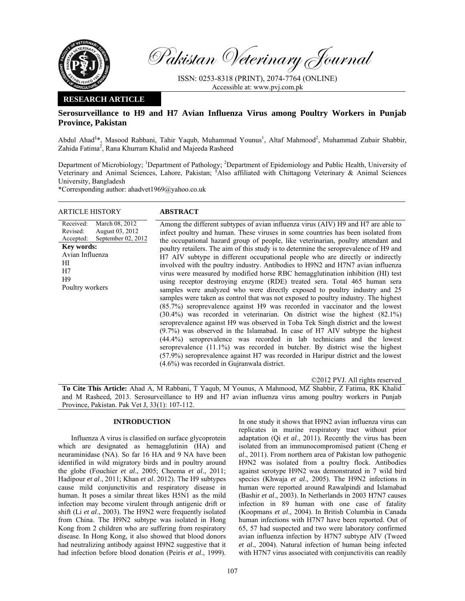

Pakistan Veterinary Journal

ISSN: 0253-8318 (PRINT), 2074-7764 (ONLINE) Accessible at: www.pvj.com.pk

### **RESEARCH ARTICLE**

# **Serosurveillance to H9 and H7 Avian Influenza Virus among Poultry Workers in Punjab Province, Pakistan**

Abdul Ahad<sup>§\*</sup>, Masood Rabbani, Tahir Yaqub, Muhammad Younus<sup>1</sup>, Altaf Mahmood<sup>2</sup>, Muhammad Zubair Shabbir, Zahida Fatima<sup>2</sup>, Rana Khurram Khalid and Majeeda Rasheed

Department of Microbiology; <sup>1</sup>Department of Pathology; <sup>2</sup>Department of Epidemiology and Public Health, University of Veterinary and Animal Sciences, Lahore, Pakistan; <sup>§</sup>Also affiliated with Chittagong Veterinary & Animal Sciences University, Bangladesh

\*Corresponding author: ahadvet1969@yahoo.co.uk

| <b>ARTICLE HISTORY</b>                                                                                                                                                                 | <b>ABSTRACT</b>                                                                                                                                                                                                                                                                                                                                                                                                                                                                                                                                                                                                                                                                                                                                                                                                                                                                                                                                                                                                                                                                                                                                                                                                                                                                                                                                                                                                                                                                                     |
|----------------------------------------------------------------------------------------------------------------------------------------------------------------------------------------|-----------------------------------------------------------------------------------------------------------------------------------------------------------------------------------------------------------------------------------------------------------------------------------------------------------------------------------------------------------------------------------------------------------------------------------------------------------------------------------------------------------------------------------------------------------------------------------------------------------------------------------------------------------------------------------------------------------------------------------------------------------------------------------------------------------------------------------------------------------------------------------------------------------------------------------------------------------------------------------------------------------------------------------------------------------------------------------------------------------------------------------------------------------------------------------------------------------------------------------------------------------------------------------------------------------------------------------------------------------------------------------------------------------------------------------------------------------------------------------------------------|
| Received:<br>March 08, 2012<br>Revised:<br>August 03, 2012<br>September 02, 2012<br>Accepted:<br><b>Key words:</b><br>Avian Influenza<br>HІ<br>H7<br>H <sup>9</sup><br>Poultry workers | Among the different subtypes of avian influenza virus (AIV) H9 and H7 are able to<br>infect poultry and human. These viruses in some countries has been isolated from<br>the occupational hazard group of people, like veterinarian, poultry attendant and<br>poultry retailers. The aim of this study is to determine the seroprevalence of H9 and<br>H7 AIV subtype in different occupational people who are directly or indirectly<br>involved with the poultry industry. Antibodies to H9N2 and H7N7 avian influenza<br>virus were measured by modified horse RBC hemagglutination inhibition (HI) test<br>using receptor destroying enzyme (RDE) treated sera. Total 465 human sera<br>samples were analyzed who were directly exposed to poultry industry and 25<br>samples were taken as control that was not exposed to poultry industry. The highest<br>(85.7%) seroprevalence against H9 was recorded in vaccinator and the lowest<br>$(30.4%)$ was recorded in veterinarian. On district wise the highest $(82.1%)$<br>seroprevalence against H9 was observed in Toba Tek Singh district and the lowest<br>$(9.7%)$ was observed in the Islamabad. In case of H7 AIV subtype the highest<br>(44.4%) seroprevalence was recorded in lab technicians and the lowest<br>seroprevalence $(11.1\%)$ was recorded in butcher. By district wise the highest<br>(57.9%) seroprevalence against H7 was recorded in Haripur district and the lowest<br>(4.6%) was recorded in Gujranwala district. |
|                                                                                                                                                                                        | ©2012 PVJ. All rights reserved                                                                                                                                                                                                                                                                                                                                                                                                                                                                                                                                                                                                                                                                                                                                                                                                                                                                                                                                                                                                                                                                                                                                                                                                                                                                                                                                                                                                                                                                      |

**To Cite This Article:** Ahad A, M Rabbani, T Yaqub, M Younus, A Mahmood, MZ Shabbir, Z Fatima, RK Khalid and M Rasheed, 2013. Serosurveillance to H9 and H7 avian influenza virus among poultry workers in Punjab Province, Pakistan. Pak Vet J, 33(1): 107-112.

## **INTRODUCTION**

Influenza A virus is classified on surface glycoprotein which are designated as hemagglutinin (HA) and neuraminidase (NA). So far 16 HA and 9 NA have been identified in wild migratory birds and in poultry around the globe (Fouchier *et al*., 2005; Cheema *et al*., 2011; Hadipour *et al*., 2011; Khan *et al*. 2012). The H9 subtypes cause mild conjunctivitis and respiratory disease in human. It poses a similar threat likes H5N1 as the mild infection may become virulent through antigenic drift or shift (Li *et al*., 2003). The H9N2 were frequently isolated from China. The H9N2 subtype was isolated in Hong Kong from 2 children who are suffering from respiratory disease. In Hong Kong, it also showed that blood donors had neutralizing antibody against H9N2 suggestive that it had infection before blood donation (Peiris *et al*., 1999).

In one study it shows that H9N2 avian influenza virus can replicates in murine respiratory tract without prior adaptation (Qi *et al*., 2011). Recently the virus has been isolated from an immunocompromised patient (Cheng *et al*., 2011). From northern area of Pakistan low pathogenic H9N2 was isolated from a poultry flock. Antibodies against serotype H9N2 was demonstrated in 7 wild bird species (Khwaja *et al*., 2005). The H9N2 infections in human were reported around Rawalpindi and Islamabad (Bashir *et al*., 2003). In Netherlands in 2003 H7N7 causes infection in 89 human with one case of fatality (Koopmans *et al*., 2004). In British Columbia in Canada human infections with H7N7 have been reported. Out of 65, 57 had suspected and two were laboratory confirmed avian influenza infection by H7N7 subtype AIV (Tweed *et al*., 2004). Natural infection of human being infected with H7N7 virus associated with conjunctivitis can readily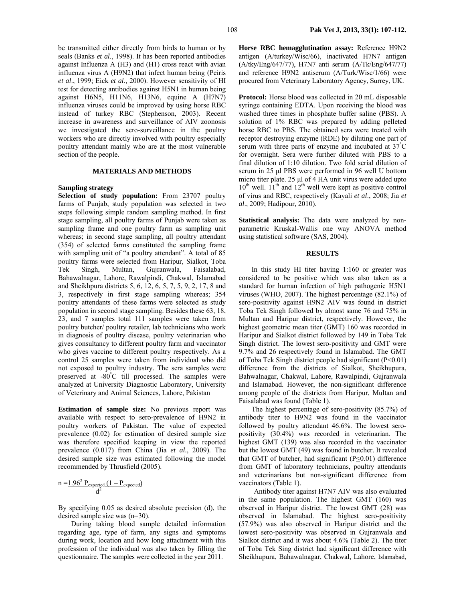be transmitted either directly from birds to human or by seals (Banks *et al*., 1998). It has been reported antibodies against Influenza A (H3) and (H1) cross react with avian influenza virus A (H9N2) that infect human being (Peiris *et al*., 1999; Eick *et al*., 2000). However sensitivity of HI test for detecting antibodies against H5N1 in human being against H6N5, H11N6, H13N6, equine A (H7N7) influenza viruses could be improved by using horse RBC instead of turkey RBC (Stephenson, 2003). Recent increase in awareness and surveillance of AIV zoonosis we investigated the sero-surveillance in the poultry workers who are directly involved with poultry especially poultry attendant mainly who are at the most vulnerable section of the people.

### **MATERIALS AND METHODS**

#### **Sampling strategy**

**Selection of study population:** From 23707 poultry farms of Punjab, study population was selected in two steps following simple random sampling method. In first stage sampling, all poultry farms of Punjab were taken as sampling frame and one poultry farm as sampling unit whereas; in second stage sampling, all poultry attendant (354) of selected farms constituted the sampling frame with sampling unit of "a poultry attendant". A total of 85 poultry farms were selected from Haripur, Sialkot, Toba Tek Singh, Multan, Gujranwala, Faisalabad, Bahawalnagar, Lahore, Rawalpindi, Chakwal, Islamabad and Sheikhpura districts 5, 6, 12, 6, 5, 7, 5, 9, 2, 17, 8 and 3, respectively in first stage sampling whereas; 354 poultry attendants of these farms were selected as study population in second stage sampling. Besides these 63, 18, 23, and 7 samples total 111 samples were taken from poultry butcher/ poultry retailer, lab technicians who work in diagnosis of poultry disease, poultry veterinarian who gives consultancy to different poultry farm and vaccinator who gives vaccine to different poultry respectively. As a control 25 samples were taken from individual who did not exposed to poultry industry. The sera samples were preserved at -80° C till processed. The samples were analyzed at University Diagnostic Laboratory, University of Veterinary and Animal Sciences, Lahore, Pakistan

**Estimation of sample size:** No previous report was available with respect to sero-prevalence of H9N2 in poultry workers of Pakistan. The value of expected prevalence (0.02) for estimation of desired sample size was therefore specified keeping in view the reported prevalence (0.017) from China (Jia *et al.,* 2009). The desired sample size was estimated following the model recommended by Thrusfield (2005).

$$
n = 1.962 Pexpected (1 - Pexpected)
$$

$$
d2
$$

By specifying 0.05 as desired absolute precision (d), the desired sample size was (n=30).

During taking blood sample detailed information regarding age, type of farm, any signs and symptoms during work, location and how long attachment with this profession of the individual was also taken by filling the questionnaire. The samples were collected in the year 2011.

**Horse RBC hemagglutination assay:** Reference H9N2 antigen (A/turkey/Wisc/66), inactivated H7N7 antigen (A/tky/Eng/647/77), H7N7 anti serum (A/Tk/Eng/647/77) and reference H9N2 antiserum (A/Turk/Wisc/1/66) were procured from Veterinary Laboratory Agency, Surrey, UK.

**Protocol:** Horse blood was collected in 20 mL disposable syringe containing EDTA. Upon receiving the blood was washed three times in phosphate buffer saline (PBS). A solution of 1% RBC was prepared by adding pelleted horse RBC to PBS. The obtained sera were treated with receptor destroying enzyme (RDE) by diluting one part of serum with three parts of enzyme and incubated at 37°C for overnight. Sera were further diluted with PBS to a final dilution of 1:10 dilution. Two fold serial dilution of serum in 25 µl PBS were performed in 96 well U bottom micro titer plate. 25 µl of 4 HA unit virus were added upto  $10^{th}$  well.  $11^{th}$  and  $12^{th}$  well were kept as positive control of virus and RBC, respectively (Kayali *et al*., 2008; Jia *et al*., 2009; Hadipour, 2010).

**Statistical analysis:** The data were analyzed by nonparametric Kruskal-Wallis one way ANOVA method using statistical software (SAS, 2004).

#### **RESULTS**

In this study HI titer having 1:160 or greater was considered to be positive which was also taken as a standard for human infection of high pathogenic H5N1 viruses (WHO, 2007). The highest percentage (82.1%) of sero-positivity against H9N2 AIV was found in district Toba Tek Singh followed by almost same 76 and 75% in Multan and Haripur district, respectively. However, the highest geometric mean titer (GMT) 160 was recorded in Haripur and Sialkot district followed by 149 in Toba Tek Singh district. The lowest sero-positivity and GMT were 9.7% and 26 respectively found in Islamabad. The GMT of Toba Tek Singh district people had significant (P<0.01) difference from the districts of Sialkot, Sheikhupura, Bahwalnagar, Chakwal, Lahore, Rawalpindi, Gujranwala and Islamabad. However, the non-significant difference among people of the districts from Haripur, Multan and Faisalabad was found (Table 1).

The highest percentage of sero-positivity (85.7%) of antibody titer to H9N2 was found in the vaccinator followed by poultry attendant 46.6%. The lowest seropositivity (30.4%) was recorded in veterinarian. The highest GMT (139) was also recorded in the vaccinator but the lowest GMT (49) was found in butcher. It revealed that GMT of butcher, had significant  $(P<0.01)$  difference from GMT of laboratory technicians, poultry attendants and veterinarians but non-significant difference from vaccinators (Table 1).

Antibody titer against H7N7 AIV was also evaluated in the same population. The highest GMT (160) was observed in Haripur district. The lowest GMT (28) was observed in Islamabad. The highest sero-positivity (57.9%) was also observed in Haripur district and the lowest sero-positivity was observed in Gujranwala and Sialkot district and it was about 4.6% (Table 2). The titer of Toba Tek Sing district had significant difference with Sheikhupura, Bahawalnagar, Chakwal, Lahore, Islamabad,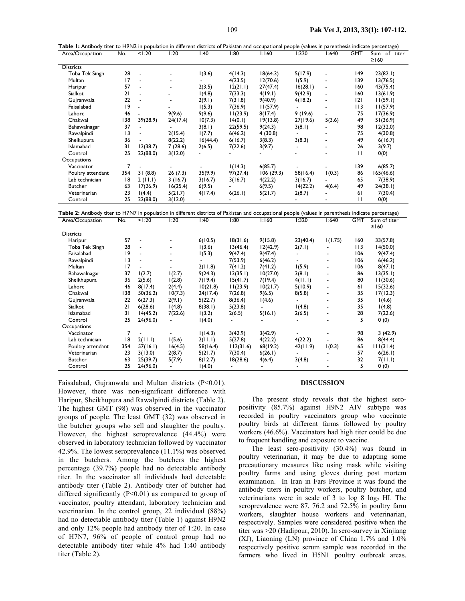| Area/Occupation   | No. | 1:20                     | 1:20                     | l:40           | 1:80     | 1:160     | 1:320                    | 1:640                        | <b>GMT</b>   | Sum of titer<br>$\geq$ 160 |
|-------------------|-----|--------------------------|--------------------------|----------------|----------|-----------|--------------------------|------------------------------|--------------|----------------------------|
| <b>Districts</b>  |     |                          |                          |                |          |           |                          |                              |              |                            |
| Toba Tek Singh    | 28  | $\overline{\phantom{a}}$ | $\blacksquare$           | 1(3.6)         | 4(14.3)  | 18(64.3)  | 5(17.9)                  | $\qquad \qquad \blacksquare$ | 149          | 23(82.1)                   |
| Multan            | 17  | $\overline{\phantom{a}}$ | $\overline{\phantom{a}}$ |                | 4(23.5)  | 12(70.6)  | 1(5.9)                   | $\qquad \qquad \blacksquare$ | 139          | 13(76.5)                   |
| Haripur           | 57  |                          | $\blacksquare$           | 2(3.5)         | 12(21.1) | 27(47.4)  | 16(28.1)                 | $\overline{\phantom{a}}$     | 160          | 43(75.4)                   |
| Sialkot           | 21  |                          |                          | 1(4.8)         | 7(33.3)  | 4(19.1)   | 9(42.9)                  | $\overline{\phantom{0}}$     | 160          | 13(61.9)                   |
| Gujranwala        | 22  |                          | $\overline{\phantom{a}}$ | 2(9.1)         | 7(31.8)  | 9(40.9)   | 4(18.2)                  | $\qquad \qquad \blacksquare$ | 2            | 11(59.1)                   |
| Faisalabad        | 9   | $\blacksquare$           |                          | 1(5.3)         | 7(36.9)  | 11(57.9)  |                          |                              | 113          | 11(57.9)                   |
| Lahore            | 46  |                          | 9(9.6)                   | 9(9.6)         | 11(23.9) | 8(17.4)   | 9(19.6)                  |                              | 75           | 17(36.9)                   |
| Chakwal           | 138 | 39(28.9)                 | 24(17.4)                 | 10(7.3)        | 14(0.1)  | 19(13.8)  | 27(19.6)                 | 5(3.6)                       | 49           | 51(36.9)                   |
| Bahawalnagar      | 37  | $\blacksquare$           |                          | 3(8.1)         | 22(59.5) | 9(24.3)   | 3(8.1)                   |                              | 98           | 12(32.0)                   |
| Rawalpindi        | 3   |                          | 2(15.4)                  | 1(7.7)         | 6(46.2)  | 4(30.8)   |                          |                              | 75           | 4(30.8)                    |
| Sheikupura        | 36  |                          | 8(22.2)                  | 16(44.4)       | 6(16.7)  | 3(8.3)    | 3(8.3)                   | $\overline{\phantom{0}}$     | 49           | 6(16.7)                    |
| Islamabad         | 31  | 12(38.7)                 | 7(28.6)                  | 2(6.5)         | 7(22.6)  | 3(9.7)    | $\overline{\phantom{a}}$ | $\blacksquare$               | 26           | 3(9.7)                     |
| Control           | 25  | 22(88.0)                 | 3(12.0)                  |                |          |           |                          |                              | $\mathbf{H}$ | 0(0)                       |
| Occupations       |     |                          |                          |                |          |           |                          |                              |              |                            |
| Vaccinator        | 7   |                          | $\blacksquare$           |                | 1(14.3)  | 6(85.7)   |                          |                              | 139          | 6(85.7)                    |
| Poultry attendant | 354 | 31(8.8)                  | 26(7.3)                  | 35(9.9)        | 97(27.4) | 106(29.3) | 58(16.4)                 | 1(0.3)                       | 86           | 165(46.6)                  |
| Lab technician    | 18  | 2(11.1)                  | 3(16.7)                  | 3(16.7)        | 3(16.7)  | 4(22.2)   | 3(16.7)                  |                              | 65           | 7(38.9)                    |
| <b>Butcher</b>    | 63  | 17(26.9)                 | 16(25.4)                 | 6(9.5)         |          | 6(9.5)    | 14(22.2)                 | 4(6.4)                       | 49           | 24(38.1)                   |
| Veterinarian      | 23  | 1(4.4)                   | 5(21.7)                  | 4(17.4)        | 6(26.1)  | 5(21.7)   | 2(8.7)                   |                              | 61           | 7(30.4)                    |
| Control           | 25  | 22(88.0)                 | 3(12.0)                  | $\blacksquare$ |          |           |                          |                              | $\mathbf{H}$ | 0(0)                       |

| Area/Occupation   | No.             | 1:20                     | l:20                     | l:40     | 1:80      | 1:160    | 1:320    | 640: ا  | <b>GMT</b> | Sum of titer |
|-------------------|-----------------|--------------------------|--------------------------|----------|-----------|----------|----------|---------|------------|--------------|
|                   |                 |                          |                          |          |           |          |          |         |            | $\geq$ 160   |
| <b>Districts</b>  |                 |                          |                          |          |           |          |          |         |            |              |
| Haripur           | 57              | $\overline{\phantom{a}}$ |                          | 6(10.5)  | 18(31.6)  | 9(15.8)  | 23(40.4) | 1(1.75) | 160        | 33(57.8)     |
| Toba Tek Singh    | 28              | $\overline{\phantom{a}}$ | $\overline{\phantom{a}}$ | 1(3.6)   | 13(46.4)  | 12(42.9) | 2(7.1)   |         | I I 3      | 14(50.0)     |
| Faisalabad        | 19              |                          | -                        | 1(5.3)   | 9(47.4)   | 9(47.4)  |          |         | 106        | 9(47.4)      |
| Rawalpindi        | $\overline{13}$ |                          |                          |          | 7(53.9)   | 6(46.2)  |          |         | 106        | 6(46.2)      |
| Multan            | 17              |                          | ۰                        | 2(11.8)  | 7(41.2)   | 7(41.2)  | 1(5.9)   |         | 106        | 8(47.1)      |
| Bahawalnagar      | 37              | 1(2.7)                   | 1(2.7)                   | 9(24.3)  | 13(35.1)  | 10(27.0) | 3(8.1)   |         | 86         | 13(35.1)     |
| Sheikhupura       | 36              | 2(5.6)                   | 1(2.8)                   | 7(19.4)  | 15(41.7)  | 7(19.4)  | 4(11.1)  |         | 80         | 11(30.6)     |
| Lahore            | 46              | 8(17.4)                  | 2(4.4)                   | 10(21.8) | 11(23.9)  | 10(21.7) | 5(10.9)  |         | 61         | 15(32.6)     |
| Chakwal           | l 38            | 50(36.2)                 | 10(7.3)                  | 24(17.4) | 7(26.8)   | 9(6.5)   | 8(5.8)   |         | 35         | 17(12.3)     |
| Gujranwala        | 22              | 6(27.3)                  | 2(9.1)                   | 5(22.7)  | 8(36.4)   | 1(4.6)   |          |         | 35         | 1(4.6)       |
| Sialkot           | 21              | 6(28.6)                  | 1(4.8)                   | 8(38.1)  | 5(23.8)   |          | 1(4.8)   |         | 35         | 1(4.8)       |
| Islamabad         | 31              | 14(45.2)                 | 7(22.6)                  | 1(3.2)   | 2(6.5)    | 5(16.1)  | 2(6.5)   |         | 28         | 7(22.6)      |
| Control           | 25              | 24(96.0)                 |                          | 1(4.0)   |           |          |          |         | 5          | 0(0)         |
| Occupations       |                 |                          |                          |          |           |          |          |         |            |              |
| Vaccinator        |                 |                          |                          | 1(14.3)  | 3(42.9)   | 3(42.9)  |          |         | 98         | 3 (42.9)     |
| Lab technician    | 18              | 2(11.1)                  | 1(5.6)                   | 2(11.1)  | 5(27.8)   | 4(22.2)  | 4(22.2)  |         | 86         | 8(44.4)      |
| Poultry attendant | 354             | 57(16.1)                 | 16(4.5)                  | 58(16.4) | 112(31.6) | 68(19.2) | 42(11.9) | 1(0.3)  | 65         | 111(31.4)    |
| Veterinarian      | 23              | 3(13.0)                  | 2(8.7)                   | 5(21.7)  | 7(30.4)   | 6(26.1)  |          |         | 57         | 6(26.1)      |
| <b>Butcher</b>    | 63              | 25(39.7)                 | 5(7.9)                   | 8(12.7)  | 18(28.6)  | 4(6.4)   | 3(4.8)   |         | 32         | 7(11.1)      |
| Control           | 25              | 24(96.0)                 |                          | 1(4.0)   |           |          |          |         | 5          | 0(0)         |

Faisalabad, Gujranwala and Multan districts ( $P \le 0.01$ ). However, there was non-significant difference with Haripur, Sheikhupura and Rawalpindi districts (Table 2). The highest GMT (98) was observed in the vaccinator groups of people. The least GMT (32) was observed in the butcher groups who sell and slaughter the poultry. However, the highest seroprevalence (44.4%) were observed in laboratory technician followed by vaccinator 42.9%. The lowest seroprevalence (11.1%) was observed in the butchers. Among the butchers the highest percentage (39.7%) people had no detectable antibody titer. In the vaccinator all individuals had detectable antibody titer (Table 2). Antibody titer of butcher had differed significantly  $(P<0.01)$  as compared to group of vaccinator, poultry attendant, laboratory technician and veterinarian. In the control group, 22 individual (88%) had no detectable antibody titer (Table 1) against H9N2 and only 12% people had antibody titer of 1:20. In case of H7N7, 96% of people of control group had no detectable antibody titer while 4% had 1:40 antibody titer (Table 2).

#### **DISCUSSION**

The present study reveals that the highest seropositivity (85.7%) against H9N2 AIV subtype was recorded in poultry vaccinators group who vaccinate poultry birds at different farms followed by poultry workers (46.6%). Vaccinators had high titer could be due to frequent handling and exposure to vaccine.

The least sero-positivity (30.4%) was found in poultry veterinarian, it may be due to adapting some precautionary measures like using mask while visiting poultry farms and using gloves during post mortem examination. In Iran in Fars Province it was found the antibody titers in poultry workers, poultry butcher, and veterinarians were in scale of  $3$  to log  $8 \log_2 H$ . The seroprevalence were 87, 76.2 and 72.5% in poultry farm workers, slaughter house workers and veterinarian, respectively. Samples were considered positive when the titer was >20 (Hadipour, 2010). In sero-survey in Xinjiang (XJ), Liaoning (LN) province of China 1.7% and 1.0% respectively positive serum sample was recorded in the farmers who lived in H5N1 poultry outbreak areas.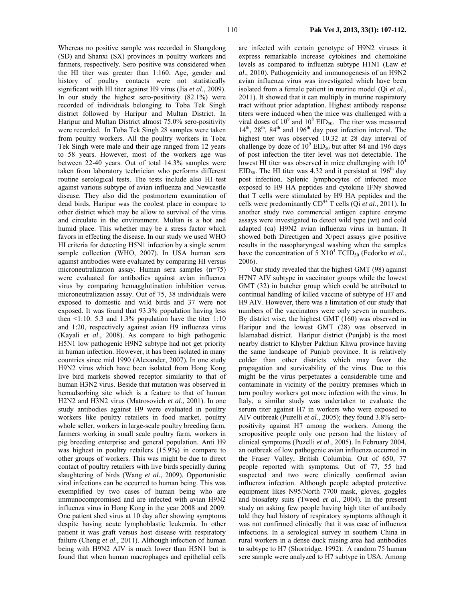(SD) and Shanxi (SX) provinces in poultry workers and farmers, respectively. Sero positive was considered when the HI titer was greater than 1:160. Age, gender and history of poultry contacts were not statistically significant with HI titer against H9 virus (Jia *et al*., 2009). In our study the highest sero-positivity (82.1%) were recorded of individuals belonging to Toba Tek Singh district followed by Haripur and Multan District. In Haripur and Multan District almost 75.0% sero-positivity were recorded. In Toba Tek Singh 28 samples were taken from poultry workers. All the poultry workers in Toba Tek Singh were male and their age ranged from 12 years to 58 years. However, most of the workers age was between 22-40 years. Out of total 14.3% samples were taken from laboratory technician who performs different routine serological tests. The tests include also HI test against various subtype of avian influenza and Newcastle disease. They also did the postmortem examination of dead birds. Haripur was the coolest place in compare to other district which may be allow to survival of the virus and circulate in the environment. Multan is a hot and humid place. This whether may be a stress factor which favors in effecting the disease. In our study we used WHO HI criteria for detecting H5N1 infection by a single serum sample collection (WHO, 2007). In USA human sera against antibodies were evaluated by comparing HI versus microneutralization assay. Human sera samples (n=75) were evaluated for antibodies against avian influenza virus by comparing hemagglutination inhibition versus microneutralization assay. Out of 75, 38 individuals were exposed to domestic and wild birds and 37 were not exposed. It was found that 93.3% population having less then  $\leq$ 1:10. 5.3 and 1.3% population have the titer 1:10 and 1:20, respectively against avian H9 influenza virus (Kayali *et al*., 2008). As compare to high pathogenic H5N1 low pathogenic H9N2 subtype had not get priority in human infection. However, it has been isolated in many countries since mid 1990 (Alexander, 2007). In one study H9N2 virus which have been isolated from Hong Kong live bird markets showed receptor similarity to that of human H3N2 virus. Beside that mutation was observed in hemadsorbing site which is a feature to that of human H2N2 and H3N2 virus (Matrosovich *et al*., 2001). In one study antibodies against H9 were evaluated in poultry workers like poultry retailers in food market, poultry whole seller, workers in large-scale poultry breeding farm, farmers working in small scale poultry farm, workers in pig breeding enterprise and general population. Anti H9 was highest in poultry retailers (15.9%) in compare to other groups of workers. This was might be due to direct contact of poultry retailers with live birds specially during slaughtering of birds (Wang *et al*., 2009). Opportunistic viral infections can be occurred to human being. This was exemplified by two cases of human being who are immunocompromised and are infected with avian H9N2 influenza virus in Hong Kong in the year 2008 and 2009. One patient shed virus at 10 day after showing symptoms despite having acute lymphoblastic leukemia. In other patient it was graft versus host disease with respiratory failure (Cheng *et al*., 2011). Although infection of human being with H9N2 AIV is much lower than H5N1 but is found that when human macrophages and epithelial cells

Whereas no positive sample was recorded in Shangdong

are infected with certain genotype of H9N2 viruses it express remarkable increase cytokines and chemokine levels as compared to influenza subtype H1N1 (Law *et al*., 2010). Pathogenicity and immunogenesis of an H9N2 avian influenza virus was investigated which have been isolated from a female patient in murine model (Qi *et al*., 2011). It showed that it can multiply in murine respiratory tract without prior adaptation. Highest antibody response titers were induced when the mice was challenged with a viral doses of  $10^9$  and  $10^8$  EID<sub>50</sub>. The titer was measured  $14<sup>th</sup>$ ,  $28<sup>th</sup>$ ,  $84<sup>th</sup>$  and  $196<sup>th</sup>$  day post infection interval. The highest titer was observed 10.32 at 28 day interval of challenge by doze of  $10^9$  EID<sub>50</sub> but after 84 and 196 days of post infection the titer level was not detectable. The lowest HI titer was observed in mice challenging with  $10<sup>4</sup>$  $EID<sub>50</sub>$ . The HI titer was 4.32 and it persisted at 196<sup>th</sup> day post infection. Splenic lymphocytes of infected mice exposed to H9 HA peptides and cytokine IFNγ showed that T cells were stimulated by H9 HA peptides and the cells were predominantly  $CD^{4+}$  T cells (Qi *et al.*, 2011). In another study two commercial antigen capture enzyme assays were investigated to detect wild type (wt) and cold adapted (ca) H9N2 avian influenza virus in human. It showed both Directigen and X/pect assays give positive results in the nasopharyngeal washing when the samples have the concentration of 5  $X10^4$  TCID<sub>50</sub> (Fedorko *et al.*, 2006).

Our study revealed that the highest GMT (98) against H7N7 AIV subtype in vaccinator groups while the lowest GMT (32) in butcher group which could be attributed to continual handling of killed vaccine of subtype of H7 and H9 AIV. However, there was a limitation of our study that numbers of the vaccinators were only seven in numbers. By district wise, the highest GMT (160) was observed in Haripur and the lowest GMT (28) was observed in Islamabad district. Haripur district (Punjab) is the most nearby district to Khyber Pakthun Khwa province having the same landscape of Punjab province. It is relatively colder than other districts which may favor the propagation and survivability of the virus. Due to this might be the virus perpetuates a considerable time and contaminate in vicinity of the poultry premises which in turn poultry workers got more infection with the virus. In Italy, a similar study was undertaken to evaluate the serum titer against H7 in workers who were exposed to AIV outbreak (Puzelli *et al*., 2005); they found 3.8% seropositivity against H7 among the workers. Among the seropositive people only one person had the history of clinical symptoms (Puzelli *et al*., 2005). In February 2004, an outbreak of low pathogenic avian influenza occurred in the Fraser Valley, British Columbia. Out of 650, 77 people reported with symptoms. Out of 77, 55 had suspected and two were clinically confirmed avian influenza infection. Although people adapted protective equipment likes N95/North 7700 mask, gloves, goggles and biosafety suits (Tweed *et al*., 2004). In the present study on asking few people having high titer of antibody told they had history of respiratory symptoms although it was not confirmed clinically that it was case of influenza infections. In a serological survey in southern China in rural workers in a dense duck raising area had antibodies to subtype to H7 (Shortridge, 1992). A random 75 human sere sample were analyzed to H7 subtype in USA. Among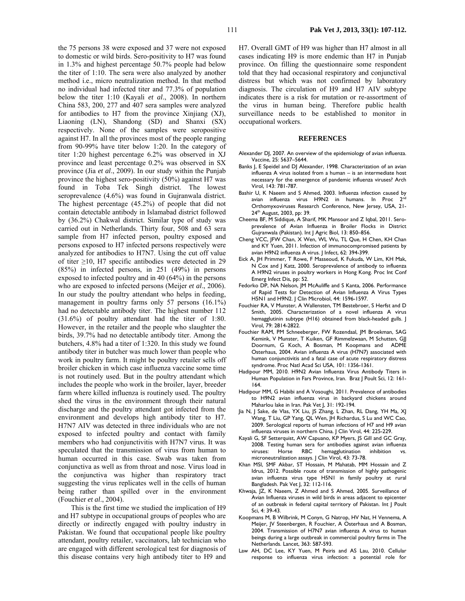H7. Overall GMT of H9 was higher than H7 almost in all cases indicating H9 is more endemic than H7 in Punjab province. On filling the questionnaire some respondent told that they had occasional respiratory and conjunctival distress but which was not confirmed by laboratory diagnosis. The circulation of H9 and H7 AIV subtype indicates there is a risk for mutation or re-assortment of the virus in human being. Therefore public health surveillance needs to be established to monitor in occupational workers.

#### **REFERENCES**

- Alexander DJ, 2007. An overview of the epidemiology of avian influenza. Vaccine, 25: 5637–5644.
- Banks J, E Speidel and DJ Alexander, 1998. Characterization of an avian influenza A virus isolated from a human – is an intermediate host necessary for the emergence of pandemic influenza viruses? Arch Virol, 143: 781-787.
- Bashir U, K Naeem and S Ahmed, 2003. Influenza infection caused by avian influenza virus H9N2 in humans. In Proc  $2^{n\alpha}$ Orthomyxoviruses Research Conference, New Jersey, USA, 21- 24<sup>th</sup> August, 2003, pp: 39.
- Cheema BF, M Siddique, A Sharif, MK Mansoor and Z Iqbal, 2011. Seroprevalence of Avian Influenza in Broiler Flocks in District .<br>Gujranwala (Pakistan). Int | Agric Biol, 13: 850–856.
- Cheng VCC, JFW Chan, X Wen, WL Wu, TL Que, H Chen, KH Chan and KY Yuen, 2011. Infection of immunocompromised patients by avian H9N2 influenza A virus. | Infect, 62: 394-399.
- Eick A, JH Primmer, T Rowe, F Masseoud, K Fukuda, W Lim, KH Mak, N Cox and J Katz, 2000. Seroprevalence of antibody to influenza A H9N2 viruses in poultry workers in Hong Kong. Proc Int Conf Emerg Infect Dis, pp: 52.
- Fedorko DP, NA Nelson, JM McAuliffe and S Kanta, 2006. Performance of Rapid Tests for Detection of Avian Influenza A Virus Types H5N1 and H9N2. J Clin Microbiol, 44: 1596-1597.
- Fouchier RA, V Munster, A Wallensten, TM Bestebroer, S Herfst and D Smith, 2005. Characterization of a novel influenza A virus hemagglutinin subtype (H16) obtained from black-headed gulls. J Virol, 79: 2814-2822.
- Fouchier RAM, PM Schneeberger, FW Rozendaal, JM Broekman, SAG Kemink, V Munster, T Kuiken, GF Rimmelzwaan, M Schutten, GJJ Doornum, G Koch, A Bosman, M Koopmans and ADME Osterhaus, 2004. Avian influenza A virus (H7N7) associated with human conjunctivitis and a fatal case of acute respiratory distress syndrome. Proc Natl Acad Sci USA, 101: 1356-1361.
- Hadipour MM, 2010. H9N2 Avian Influenza Virus Antibody Titers in Human Population in Fars Province, Iran. Braz J Poult Sci, 12: 161- 164.
- Hadipour MM, G Habibi and A Vosoughi, 2011. Prevalence of antibodies to H9N2 avian influenza virus in backyard chickens around Maharlou lake in Iran. Pak Vet J, 31: 192-194.
- Jia N, J Sake, de Vlas, YX Liu, JS Zhang, L Zhan, RL Dang, YH Ma, XJ Wang, T Liu, GP Yang, QL Wen, JH Richardus, S Lu and WC Cao, 2009. Serological reports of human infections of H7 and H9 avian influenza viruses in northern China. | Clin Virol, 44: 225-229.
- Kayali G, SF Setterquist, AW Capuano, KP Myers, JS Gill and GC Gray, 2008. Testing human sera for antibodies against avian influenza viruses: Horse RBC hemagglutination inhibition vs. microneutralization assays. J Clin Virol, 43: 73-78.
- Khan MSI, SMF Akbar, ST Hossain, M Mahatab, MM Hossain and Z Idrus, 2012. Possible route of transmission of highly pathogenic avian influenza virus type H5N1 in family poultry at rural Bangladesh. Pak Vet J, 32: 112-116.
- Khwaja, JZ, K Naeem, Z Ahmed and S Ahmed, 2005. Surveillance of Avian Influenza viruses in wild birds in areas adjacent to epicenter of an outbreak in federal capital territory of Pakistan. Int J Poult Sci, 4: 39-43.
- Koopmans M, B Wilbrink, M Conyn, G Natrop, HV Nat, H Vennema, A Meijer, JV Steenbergen, R Fouchier, A Osterhaus and A Bosman, 2004. Transmission of H7N7 avian influenza A virus to human beings during a large outbreak in commercial poultry farms in The Netherlands. Lancet, 363: 587-593.
- Law AH, DC Lee, KY Yuen, M Peiris and AS Lau, 2010. Cellular response to influenza virus infection: a potential role for

to domestic or wild birds. Sero-positivity to H7 was found in 1.3% and highest percentage 50.7% people had below the titer of 1:10. The sera were also analyzed by another method i.e., micro neutralization method. In that method no individual had infected titer and 77.3% of population below the titer 1:10 (Kayali *et al*., 2008). In northern China 583, 200, 277 and 407 sera samples were analyzed for antibodies to H7 from the province Xinjiang (XJ), Liaoning (LN), Shandong (SD) and Shanxi (SX) respectively. None of the samples were seropositive against H7. In all the provinces most of the people ranging from 90-99% have titer below 1:20. In the category of titer 1:20 highest percentage 6.2% was observed in XJ province and least percentage 0.2% was observed in SX province (Jia *et al*., 2009). In our study within the Punjab province the highest sero-positivity (50%) against H7 was found in Toba Tek Singh district. The lowest seroprevalence (4.6%) was found in Gujranwala district. The highest percentage (45.2%) of people that did not contain detectable antibody in Islamabad district followed by (36.2%) Chakwal district. Similar type of study was carried out in Netherlands. Thirty four, 508 and 63 sera sample from H7 infected person, poultry exposed and persons exposed to H7 infected persons respectively were analyzed for antibodies to H7N7. Using the cut off value of titer  $\geq$ 10, H7 specific antibodies were detected in 29 (85%) in infected persons, in 251 (49%) in persons exposed to infected poultry and in 40 (64%) in the persons who are exposed to infected persons (Meijer *et al*., 2006). In our study the poultry attendant who helps in feeding, management in poultry farms only 57 persons (16.1%) had no detectable antibody titer. The highest number 112 (31.6%) of poultry attendant had the titer of 1:80. However, in the retailer and the people who slaughter the birds, 39.7% had no detectable antibody titer. Among the butchers, 4.8% had a titer of 1:320. In this study we found antibody titer in butcher was much lower than people who work in poultry farm. It might be poultry retailer sells off broiler chicken in which case influenza vaccine some time is not routinely used. But in the poultry attendant which includes the people who work in the broiler, layer, breeder farm where killed influenza is routinely used. The poultry shed the virus in the environment through their natural discharge and the poultry attendant got infected from the environment and develops high antibody titer to H7. H7N7 AIV was detected in three individuals who are not exposed to infected poultry and contact with family members who had conjunctivitis with H7N7 virus. It was speculated that the transmission of virus from human to human occurred in this case. Swab was taken from conjunctiva as well as from throat and nose. Virus load in the conjunctiva was higher than respiratory tract suggesting the virus replicates well in the cells of human being rather than spilled over in the environment (Fouchier *et al*., 2004). This is the first time we studied the implication of H9

the 75 persons 38 were exposed and 37 were not exposed

and H7 subtype in occupational groups of peoples who are directly or indirectly engaged with poultry industry in Pakistan. We found that occupational people like poultry attendant, poultry retailer, vaccinators, lab technician who are engaged with different serological test for diagnosis of this disease contains very high antibody titer to H9 and